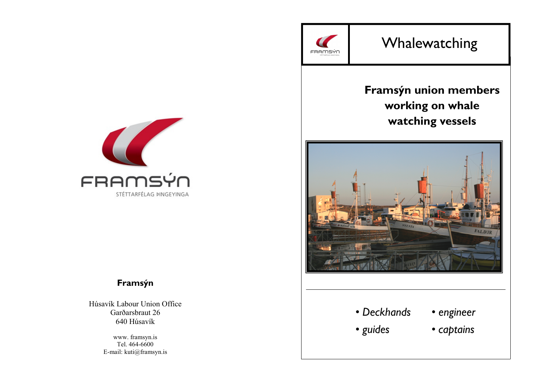

# Whalewatching

# Framsýn union members working on whale watching vessels





# Framsýn

Húsavík Labour Union Office Garðarsbraut 26 640 Húsavík

> www. framsyn.is Tel. 464-6600 E-mail: kuti@framsyn.is

# • Deckhands

- engineer
- guides
- captains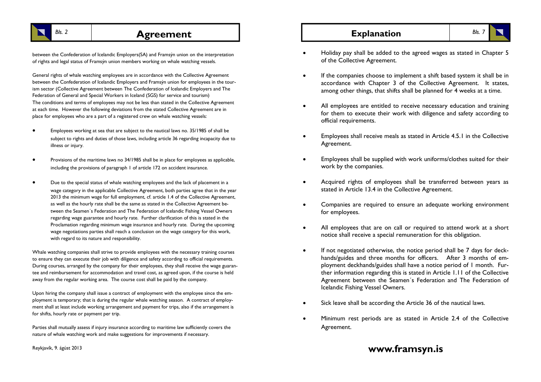

# $B$ ls. 2 et al. **Agreement** and **Explanation** Bls. 7

between the Confederation of Icelandic Employers(SA) and Framsýn union on the interpretation of rights and legal status of Framsýn union members working on whale watching vessels.

General rights of whale watching employees are in accordance with the Collective Agreement between the Confederation of Icelandic Employers and Framsýn union for employees in the tourism sector (Collective Agreement between The Confederation of Icelandic Employers and The Federation of General and Special Workers in Iceland (SGS) for service and tourism) The conditions and terms of employees may not be less than stated in the Collective Agreement at each time. However the following deviations from the stated Collective Agreement are in place for employees who are a part of a registered crew on whale watching vessels:

- Employees working at sea that are subject to the nautical laws no. 35/1985 of shall be subject to rights and duties of those laws, including article 36 regarding incapacity due to illness or injury.
- Provisions of the maritime laws no 34/1985 shall be in place for employees as applicable, including the provisions of paragraph 1 of article 172 on accident insurance.
- Due to the special status of whale watching employees and the lack of placement in a wage category in the applicable Collective Agreement, both parties agree that in the year 2013 the minimum wage for full employment, cf. article 1.4 of the Collective Agreement, as well as the hourly rate shall be the same as stated in the Collective Agreement between the Seamen´s Federation and The Federation of Icelandic Fishing Vessel Owners regarding wage guarantee and hourly rate. Further clarification of this is stated in the Proclamation regarding minimum wage insurance and hourly rate. During the upcoming wage negotiations parties shall reach a conclusion on the wage category for this work, with regard to its nature and responsibility.

Whale watching companies shall strive to provide employees with the necessary training courses to ensure they can execute their job with diligence and safety according to official requirements. During courses, arranged by the company for their employees, they shall receive the wage guarantee and reimbursement for accommodation and travel cost, as agreed upon, if the course is held away from the regular working area. The course cost shall be paid by the company.

Upon hiring the company shall issue a contract of employment with the employee since the employment is temporary; that is during the regular whale watching season. A contract of employment shall at least include working arrangement and payment for trips, also if the arrangement is for shifts, hourly rate or payment per trip.

Parties shall mutually assess if injury insurance according to maritime law sufficiently covers the nature of whale watching work and make suggestions for improvements if necessary.

- Holiday pay shall be added to the agreed wages as stated in Chapter 5 of the Collective Agreement.
- If the companies choose to implement a shift based system it shall be in accordance with Chapter 3 of the Collective Agreement. It states, among other things, that shifts shall be planned for 4 weeks at a time.
- All employees are entitled to receive necessary education and training for them to execute their work with diligence and safety according to official requirements.
- Employees shall receive meals as stated in Article 4.5.1 in the Collective Agreement.
- Employees shall be supplied with work uniforms/clothes suited for their work by the companies.
- Acquired rights of employees shall be transferred between years as stated in Article 13.4 in the Collective Agreement.
- Companies are required to ensure an adequate working environment for employees.
- All employees that are on call or required to attend work at a short notice shall receive a special remuneration for this obligation.
- If not negotiated otherwise, the notice period shall be 7 days for deckhands/guides and three months for officers. After 3 months of employment deckhands/guides shall have a notice period of 1 month. Further information regarding this is stated in Article 1.11 of the Collective Agreement between the Seamen´s Federation and The Federation of Icelandic Fishing Vessel Owners.
- Sick leave shall be according the Article 36 of the nautical laws.
- Minimum rest periods are as stated in Article 2.4 of the Collective Agreement.

# www.framsyn.is

Reykjavík, 9. ágúst 2013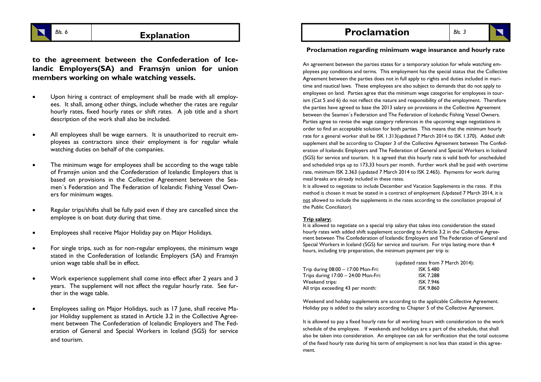

to the agreement between the Confederation of Icelandic Employers(SA) and Framsýn union for union members working on whale watching vessels.

- Upon hiring a contract of employment shall be made with all employees. It shall, among other things, include whether the rates are regular hourly rates, fixed hourly rates or shift rates. A job title and a short description of the work shall also be included.
- All employees shall be wage earners. It is unauthorized to recruit employees as contractors since their employment is for regular whale watching duties on behalf of the companies.
- The minimum wage for employees shall be according to the wage table of Framsýn union and the Confederation of Icelandic Employers that is based on provisions in the Collective Agreement between the Seamen´s Federation and The Federation of Icelandic Fishing Vessel Owners for minimum wages.
- Regular trips/shifts shall be fully paid even if they are cancelled since the employee is on boat duty during that time.
- Employees shall receive Major Holiday pay on Major Holidays.
- For single trips, such as for non-regular employees, the minimum wage stated in the Confederation of Icelandic Employers (SA) and Framsýn union wage table shall be in effect.
- Work experience supplement shall come into effect after 2 years and 3 years. The supplement will not affect the regular hourly rate. See further in the wage table.
- Employees sailing on Major Holidays, such as 17 June, shall receive Major Holiday supplement as stated in Article 3.2 in the Collective Agreement between The Confederation of Icelandic Employers and The Federation of General and Special Workers in Iceland (SGS) for service and tourism.

Explanation  $\vert$   $\vert$   $\vert$  Proclamation

Bls. 3

Proclamation regarding minimum wage insurance and hourly rate

An agreement between the parties states for a temporary solution for whale watching employees pay conditions and terms. This employment has the special status that the Collective Agreement between the parties does not in full apply to rights and duties included in maritime and nautical laws. These employees are also subject to demands that do not apply to employees on land. Parties agree that the minimum wage categories for employees in tourism (Cat 5 and 6) do not reflect the nature and responsibility of the employment. Therefore the parties have agreed to base the 2013 salary on provisions in the Collective Agreement between the Seamen´s Federation and The Federation of Icelandic Fishing Vessel Owners. Parties agree to revise the wage category references in the upcoming wage negotiations in order to find an acceptable solution for both parties. This means that the minimum hourly rate for a general worker shall be ISK 1.313(updated 7 March 2014 to ISK 1.370). Added shift supplement shall be according to Chapter 3 of the Collective Agreement between The Confederation of Icelandic Employers and The Federation of General and Special Workers in Iceland (SGS) for service and tourism. It is agreed that this hourly rate is valid both for unscheduled and scheduled trips up to 173,33 hours per month. Further work shall be paid with overtime rate, minimum ISK 2.363 (updated 7 March 2014 to ISK 2.465). Payments for work during meal breaks are already included in these rates.

 It is allowed to negotiate to include December and Vacation Supplements in the rates. If this method is chosen it must be stated in a contract of employment (Updated 7 March 2014, it is not allowed to include the supplements in the rates according to the conciliation proposal of the Public Conciliator).

#### Trip salary:

 It is allowed to negotiate on a special trip salary that takes into consideration the stated hourly rates with added shift supplement according to Article 3.2 in the Collective Agreement between The Confederation of Icelandic Employers and The Federation of General and Special Workers in Iceland (SGS) for service and tourism. For trips lasting more than 4 hours, including trip preparation, the minimum payment per trip is:

|                                       | (updated rates from 7 March 2014): |
|---------------------------------------|------------------------------------|
| Trip during 08:00 - 17:00 Mon-Fri:    | <b>ISK 5.480</b>                   |
| Trips during $17:00 - 24:00$ Mon-Fri: | <b>ISK 7.288</b>                   |
| Weekend trips:                        | <b>ISK 7.946</b>                   |
| All trips exceeding 43 per month:     | <b>ISK 9.860</b>                   |

Weekend and holiday supplements are according to the applicable Collective Agreement. Holiday pay is added to the salary according to Chapter 5 of the Collective Agreement.

It is allowed to pay a fixed hourly rate for all working hours with consideration to the work schedule of the employee. If weekends and holidays are a part of the schedule, that shall also be taken into consideration. An employee can ask for verification that the total outcome of the fixed hourly rate during his term of employment is not less than stated in this agreement.